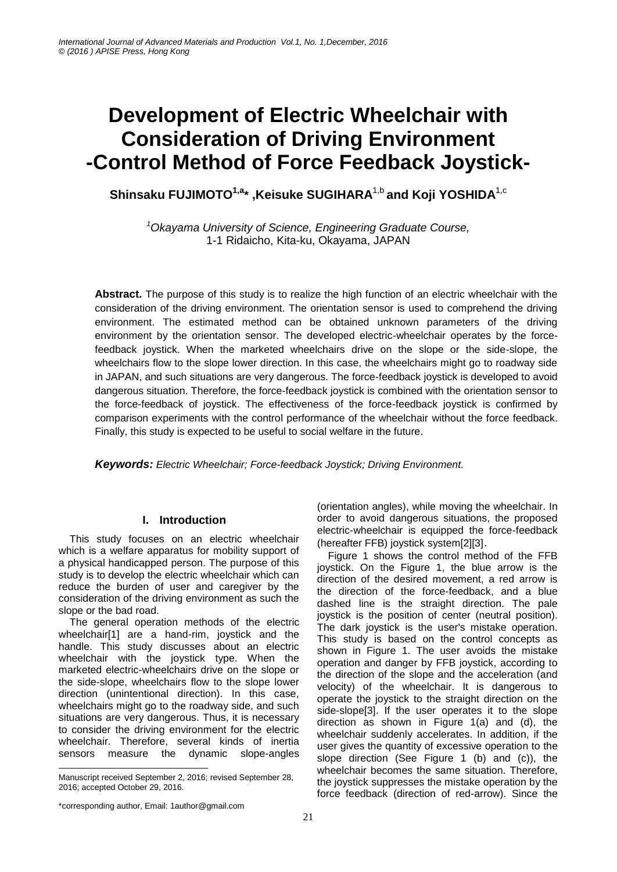# **Development of Electric Wheelchair with Consideration of Driving Environment -Control Method of Force Feedback Joystick-**

**Shinsaku FUJIMOTO1,a\* ,Keisuke SUGIHARA**1,b **and Koji YOSHIDA**1,c

*<sup>1</sup>Okayama University of Science, Engineering Graduate Course,*  1-1 Ridaicho, Kita-ku, Okayama, JAPAN

**Abstract.** The purpose of this study is to realize the high function of an electric wheelchair with the consideration of the driving environment. The orientation sensor is used to comprehend the driving environment. The estimated method can be obtained unknown parameters of the driving environment by the orientation sensor. The developed electric-wheelchair operates by the forcefeedback joystick. When the marketed wheelchairs drive on the slope or the side-slope, the wheelchairs flow to the slope lower direction. In this case, the wheelchairs might go to roadway side in JAPAN, and such situations are very dangerous. The force-feedback joystick is developed to avoid dangerous situation. Therefore, the force-feedback joystick is combined with the orientation sensor to the force-feedback of joystick. The effectiveness of the force-feedback joystick is confirmed by comparison experiments with the control performance of the wheelchair without the force feedback. Finally, this study is expected to be useful to social welfare in the future.

*Keywords: Electric Wheelchair; Force-feedback Joystick; Driving Environment.*

# **I. Introduction**

This study focuses on an electric wheelchair which is a welfare apparatus for mobility support of a physical handicapped person. The purpose of this study is to develop the electric wheelchair which can reduce the burden of user and caregiver by the consideration of the driving environment as such the slope or the bad road.

The general operation methods of the electric wheelchair[1] are a hand-rim, joystick and the handle. This study discusses about an electric wheelchair with the joystick type. When the marketed electric-wheelchairs drive on the slope or the side-slope, wheelchairs flow to the slope lower direction (unintentional direction). In this case, wheelchairs might go to the roadway side, and such situations are very dangerous. Thus, it is necessary to consider the driving environment for the electric wheelchair. Therefore, several kinds of inertia sensors measure the dynamic slope-angles (orientation angles), while moving the wheelchair. In order to avoid dangerous situations, the proposed electric-wheelchair is equipped the force-feedback (hereafter FFB) joystick system[2][3].

Figure 1 shows the control method of the FFB joystick. On the Figure 1, the blue arrow is the direction of the desired movement, a red arrow is the direction of the force-feedback, and a blue dashed line is the straight direction. The pale joystick is the position of center (neutral position). The dark joystick is the user's mistake operation. This study is based on the control concepts as shown in Figure 1. The user avoids the mistake operation and danger by FFB joystick, according to the direction of the slope and the acceleration (and velocity) of the wheelchair. It is dangerous to operate the joystick to the straight direction on the side-slope[3]. If the user operates it to the slope direction as shown in Figure 1(a) and (d), the wheelchair suddenly accelerates. In addition, if the user gives the quantity of excessive operation to the slope direction (See Figure 1 (b) and (c)), the wheelchair becomes the same situation. Therefore, the joystick suppresses the mistake operation by the force feedback (direction of red-arrow). Since the

-

Manuscript received September 2, 2016; revised September 28, 2016; accepted October 29, 2016.

<sup>\*</sup>corresponding author, Email: 1author@gmail.com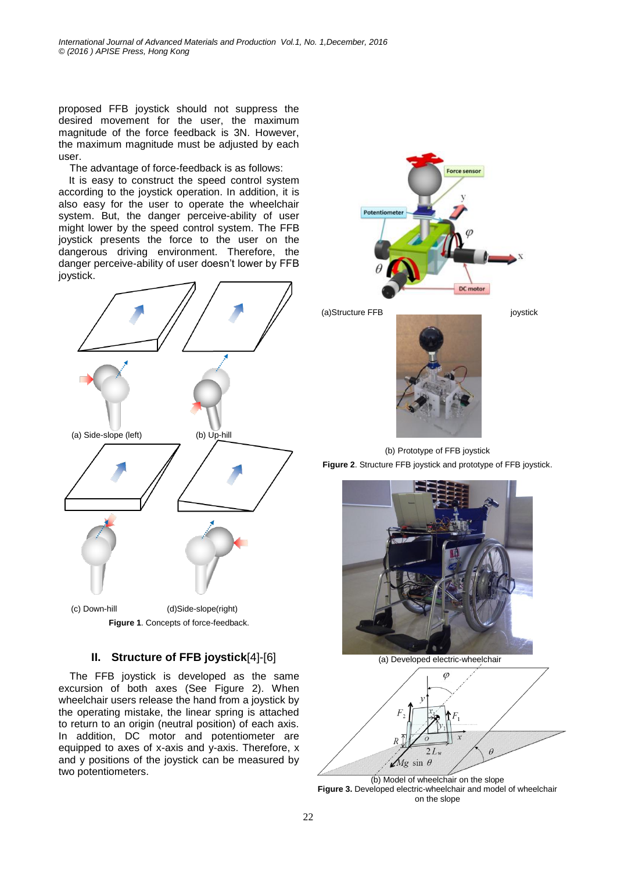proposed FFB joystick should not suppress the desired movement for the user, the maximum magnitude of the force feedback is 3N. However, the maximum magnitude must be adjusted by each user.

The advantage of force-feedback is as follows:

It is easy to construct the speed control system according to the joystick operation. In addition, it is also easy for the user to operate the wheelchair system. But, the danger perceive-ability of user might lower by the speed control system. The FFB joystick presents the force to the user on the dangerous driving environment. Therefore, the danger perceive-ability of user doesn't lower by FFB joystick.



# **II. Structure of FFB joystick**[4]-[6]

The FFB joystick is developed as the same excursion of both axes (See Figure 2). When wheelchair users release the hand from a joystick by the operating mistake, the linear spring is attached to return to an origin (neutral position) of each axis. In addition, DC motor and potentiometer are equipped to axes of x-axis and y-axis. Therefore, x and y positions of the joystick can be measured by two potentiometers.





(b) Prototype of FFB joystick **Figure 2**. Structure FFB joystick and prototype of FFB joystick.



(a) Developed electric-wheelchair



(b) Model of wheelchair on the slope **Figure 3.** Developed electric-wheelchair and model of wheelchair on the slope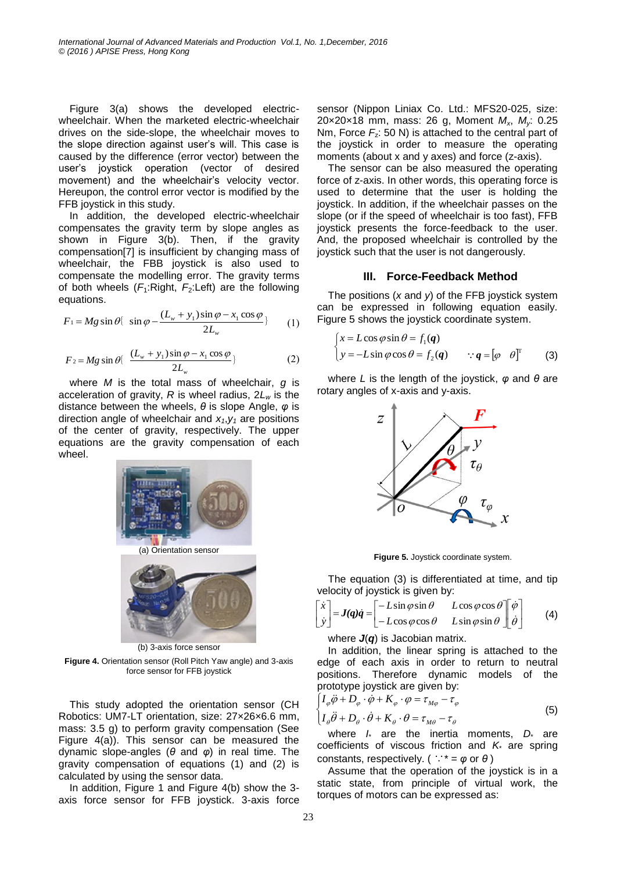Figure 3(a) shows the developed electricwheelchair. When the marketed electric-wheelchair drives on the side-slope, the wheelchair moves to the slope direction against user's will. This case is caused by the difference (error vector) between the user's joystick operation (vector of desired movement) and the wheelchair's velocity vector. Hereupon, the control error vector is modified by the FFB joystick in this study.

In addition, the developed electric-wheelchair compensates the gravity term by slope angles as shown in Figure 3(b). Then, if the gravity compensation[7] is insufficient by changing mass of wheelchair, the FBB joystick is also used to compensate the modelling error. The gravity terms of both wheels  $(F_1:Right, F_2:Left)$  are the following equations.

$$
F_1 = Mg \sin \theta \{ \sin \varphi - \frac{(L_w + y_1)\sin \varphi - x_1 \cos \varphi}{2L_w} \} \qquad (1)
$$

$$
F_2 = Mg \sin \theta \left\{ \frac{(L_w + y_1)\sin \varphi - x_1 \cos \varphi}{2L_w} \right\} \tag{2}
$$

where *M* is the total mass of wheelchair, *g* is acceleration of gravity, *R* is wheel radius, 2*L<sup>w</sup>* is the distance between the wheels, *θ* is slope Angle, *φ* is direction angle of wheelchair and  $x_1, y_1$  are positions of the center of gravity, respectively. The upper equations are the gravity compensation of each wheel.



**Figure 4.** Orientation sensor (Roll Pitch Yaw angle) and 3-axis

force sensor for FFB joystick

This study adopted the orientation sensor (CH Robotics: UM7-LT orientation, size: 27×26×6.6 mm, mass: 3.5 g) to perform gravity compensation (See Figure 4(a)). This sensor can be measured the dynamic slope-angles (*θ* and *φ*) in real time. The gravity compensation of equations (1) and (2) is calculated by using the sensor data.

In addition, Figure 1 and Figure 4(b) show the 3 axis force sensor for FFB joystick. 3-axis force sensor (Nippon Liniax Co. Ltd.: MFS20-025, size: 20×20×18 mm, mass: 26 g, Moment *Mx*, *My*: 0.25 Nm, Force  $F<sub>z</sub>$ : 50 N) is attached to the central part of the joystick in order to measure the operating moments (about x and y axes) and force (z-axis).

The sensor can be also measured the operating force of z-axis. In other words, this operating force is used to determine that the user is holding the joystick. In addition, if the wheelchair passes on the slope (or if the speed of wheelchair is too fast), FFB joystick presents the force-feedback to the user. And, the proposed wheelchair is controlled by the joystick such that the user is not dangerously.

## **III. Force-Feedback Method**

The positions (*x* and *y*) of the FFB joystick system can be expressed in following equation easily. Figure 5 shows the joystick coordinate system.

$$
\begin{cases} x = L\cos\varphi\sin\theta = f_1(q) \\ y = -L\sin\varphi\cos\theta = f_2(q) \qquad \because q = [\varphi \quad \theta]^T \end{cases}
$$
 (3)

where *L* is the length of the joystick, *φ* and *θ* are rotary angles of x-axis and y-axis.



**Figure 5.** Joystick coordinate system.

The equation (3) is differentiated at time, and tip velocity of joystick is given by:

$$
\begin{aligned}\n\dot{x} \\
\dot{y}\n\end{aligned}\n=\n\begin{bmatrix}\n-L\sin\varphi\sin\theta & L\cos\varphi\cos\theta \\
-L\cos\varphi\cos\theta & L\sin\varphi\sin\theta\n\end{bmatrix}\n\begin{bmatrix}\n\dot{\varphi} \\
\dot{\theta}\n\end{bmatrix}
$$
\n(4)

where *J*(*q*) is Jacobian matrix.

In addition, the linear spring is attached to the edge of each axis in order to return to neutral positions. Therefore dynamic models of the prototype joystick are given by:

$$
\begin{cases}\nI_{\varphi}\ddot{\varphi} + D_{\varphi} \cdot \dot{\varphi} + K_{\varphi} \cdot \varphi = \tau_{M\varphi} - \tau_{\varphi} \\
I_{\theta}\ddot{\theta} + D_{\theta} \cdot \dot{\theta} + K_{\theta} \cdot \theta = \tau_{M\theta} - \tau_{\theta}\n\end{cases}
$$
\n(5)

where *I*\* are the inertia moments, *D*\* are coefficients of viscous friction and *K*\* are spring constants, respectively. (  $\therefore$   $* = \varphi$  or  $\theta$  )

Assume that the operation of the joystick is in a static state, from principle of virtual work, the torques of motors can be expressed as:

L L ļ.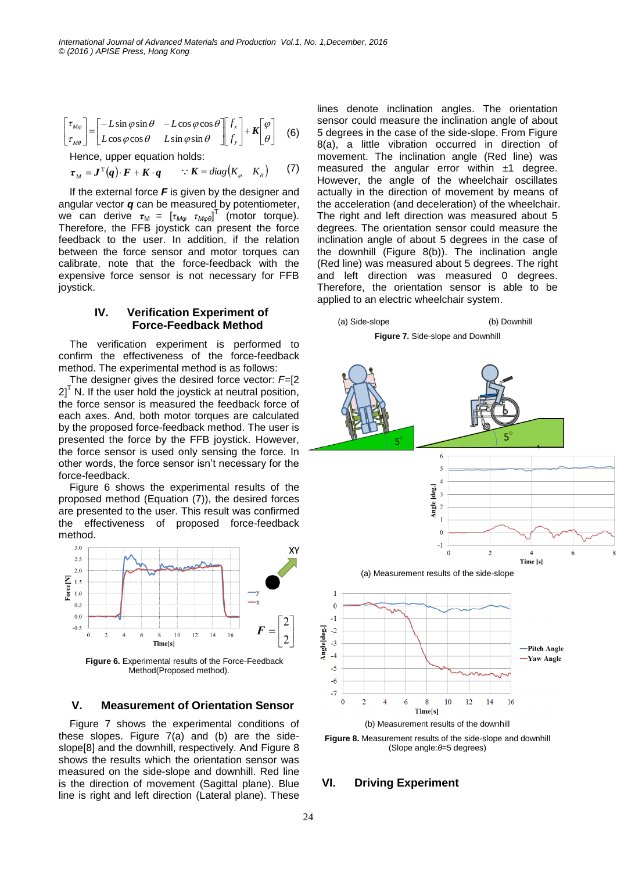$$
\begin{bmatrix} \tau_{M\varphi} \\ \tau_{M\theta} \end{bmatrix} = \begin{bmatrix} -L\sin\varphi\sin\theta & -L\cos\varphi\cos\theta \\ L\cos\varphi\cos\theta & L\sin\varphi\sin\theta \end{bmatrix} \begin{bmatrix} f_{x} \\ f_{y} \end{bmatrix} + K \begin{bmatrix} \varphi \\ \theta \end{bmatrix}
$$
 (6)

Hence, upper equation holds:

$$
\boldsymbol{\tau}_M = \boldsymbol{J}^{\mathrm{T}}(\boldsymbol{q}) \cdot \boldsymbol{F} + \boldsymbol{K} \cdot \boldsymbol{q} \qquad \because \boldsymbol{K} = diag(K_{\varphi} \mid K_{\theta}) \qquad (7)
$$

If the external force *F* is given by the designer and angular vector *q* can be measured by potentiometer,  $\vec{r}$  can derive  $\tau_M = \begin{bmatrix} \tau_{M\varphi} & \tau_{M\varphi\theta} \end{bmatrix}^T$  (motor torque). Therefore, the FFB joystick can present the force feedback to the user. In addition, if the relation between the force sensor and motor torques can calibrate, note that the force-feedback with the expensive force sensor is not necessary for FFB joystick.

### **IV. Verification Experiment of Force-Feedback Method**

The verification experiment is performed to confirm the effectiveness of the force-feedback method. The experimental method is as follows:

The designer gives the desired force vector: *F*=[2  $2<sup>1</sup>$  N. If the user hold the joystick at neutral position, the force sensor is measured the feedback force of each axes. And, both motor torques are calculated by the proposed force-feedback method. The user is presented the force by the FFB joystick. However, the force sensor is used only sensing the force. In other words, the force sensor isn't necessary for the force-feedback.

Figure 6 shows the experimental results of the proposed method (Equation (7)), the desired forces are presented to the user. This result was confirmed the effectiveness of proposed force-feedback method.



Method(Proposed method).

#### **V. Measurement of Orientation Sensor**

Figure 7 shows the experimental conditions of these slopes. Figure 7(a) and (b) are the sideslope[8] and the downhill, respectively. And Figure 8 shows the results which the orientation sensor was measured on the side-slope and downhill. Red line is the direction of movement (Sagittal plane). Blue line is right and left direction (Lateral plane). These lines denote inclination angles. The orientation sensor could measure the inclination angle of about 5 degrees in the case of the side-slope. From Figure 8(a), a little vibration occurred in direction of movement. The inclination angle (Red line) was measured the angular error within  $\pm 1$  degree. However, the angle of the wheelchair oscillates actually in the direction of movement by means of the acceleration (and deceleration) of the wheelchair. The right and left direction was measured about 5 degrees. The orientation sensor could measure the inclination angle of about 5 degrees in the case of the downhill (Figure 8(b)). The inclination angle (Red line) was measured about 5 degrees. The right and left direction was measured 0 degrees. Therefore, the orientation sensor is able to be applied to an electric wheelchair system.



**Figure 8.** Measurement results of the side-slope and downhill (Slope angle:*θ*=5 degrees)

#### **VI. Driving Experiment**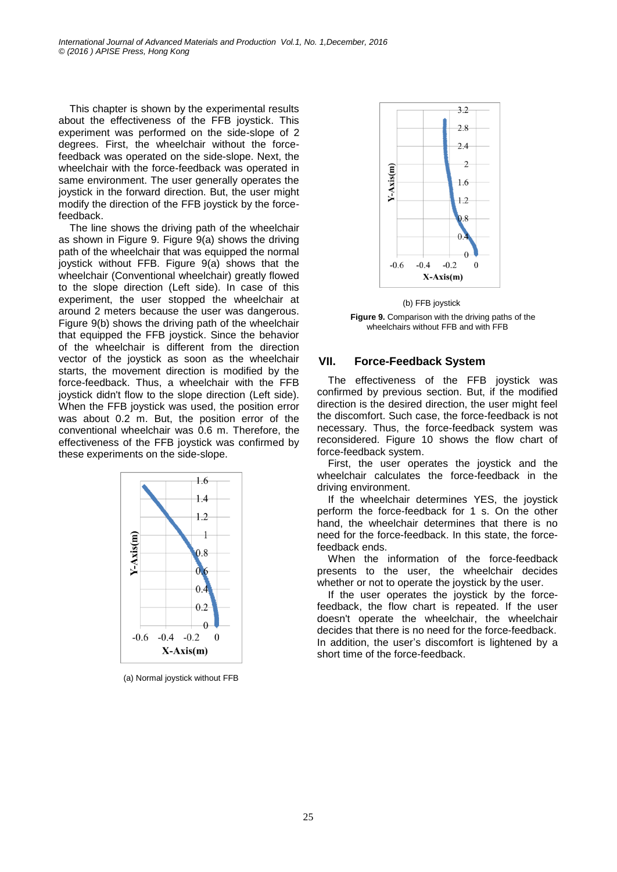This chapter is shown by the experimental results about the effectiveness of the FFB joystick. This experiment was performed on the side-slope of 2 degrees. First, the wheelchair without the forcefeedback was operated on the side-slope. Next, the wheelchair with the force-feedback was operated in same environment. The user generally operates the joystick in the forward direction. But, the user might modify the direction of the FFB joystick by the forcefeedback.

The line shows the driving path of the wheelchair as shown in Figure 9. Figure 9(a) shows the driving path of the wheelchair that was equipped the normal joystick without FFB. Figure 9(a) shows that the wheelchair (Conventional wheelchair) greatly flowed to the slope direction (Left side). In case of this experiment, the user stopped the wheelchair at around 2 meters because the user was dangerous. Figure 9(b) shows the driving path of the wheelchair that equipped the FFB joystick. Since the behavior of the wheelchair is different from the direction vector of the joystick as soon as the wheelchair starts, the movement direction is modified by the force-feedback. Thus, a wheelchair with the FFB joystick didn't flow to the slope direction (Left side). When the FFB joystick was used, the position error was about 0.2 m. But, the position error of the conventional wheelchair was 0.6 m. Therefore, the effectiveness of the FFB joystick was confirmed by these experiments on the side-slope.



(a) Normal joystick without FFB



 (b) FFB joystick **Figure 9.** Comparison with the driving paths of the wheelchairs without FFB and with FFB

## **VII. Force-Feedback System**

The effectiveness of the FFB joystick was confirmed by previous section. But, if the modified direction is the desired direction, the user might feel the discomfort. Such case, the force-feedback is not necessary. Thus, the force-feedback system was reconsidered. Figure 10 shows the flow chart of force-feedback system.

First, the user operates the joystick and the wheelchair calculates the force-feedback in the driving environment.

If the wheelchair determines YES, the joystick perform the force-feedback for 1 s. On the other hand, the wheelchair determines that there is no need for the force-feedback. In this state, the forcefeedback ends.

When the information of the force-feedback presents to the user, the wheelchair decides whether or not to operate the joystick by the user.

If the user operates the joystick by the forcefeedback, the flow chart is repeated. If the user doesn't operate the wheelchair, the wheelchair decides that there is no need for the force-feedback. In addition, the user's discomfort is lightened by a short time of the force-feedback.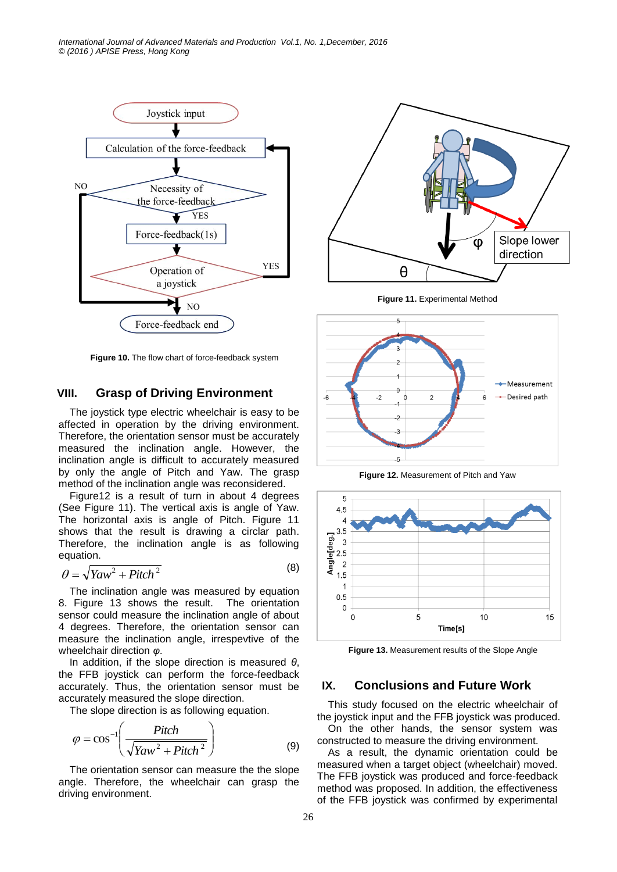

**Figure 10.** The flow chart of force-feedback system

# **VIII. Grasp of Driving Environment**

The joystick type electric wheelchair is easy to be affected in operation by the driving environment. Therefore, the orientation sensor must be accurately measured the inclination angle. However, the inclination angle is difficult to accurately measured by only the angle of Pitch and Yaw. The grasp method of the inclination angle was reconsidered.

Figure12 is a result of turn in about 4 degrees (See Figure 11). The vertical axis is angle of Yaw. The horizontal axis is angle of Pitch. Figure 11 shows that the result is drawing a circlar path. Therefore, the inclination angle is as following equation.

$$
\theta = \sqrt{Yaw^2 + Pitch^2} \tag{8}
$$

The inclination angle was measured by equation 8. Figure 13 shows the result. The orientation sensor could measure the inclination angle of about 4 degrees. Therefore, the orientation sensor can measure the inclination angle, irrespevtive of the wheelchair direction *φ*.

In addition, if the slope direction is measured *θ*, the FFB joystick can perform the force-feedback accurately. Thus, the orientation sensor must be accurately measured the slope direction.

The slope direction is as following equation.

$$
\varphi = \cos^{-1}\left(\frac{Pitch}{\sqrt{Yaw^2 + Pitch^2}}\right) \tag{9}
$$

The orientation sensor can measure the the slope angle. Therefore, the wheelchair can grasp the driving environment.



**Figure 11.** Experimental Method



**Figure 12.** Measurement of Pitch and Yaw



**Figure 13.** Measurement results of the Slope Angle

## **IX. Conclusions and Future Work**

This study focused on the electric wheelchair of the joystick input and the FFB joystick was produced. On the other hands, the sensor system was

constructed to measure the driving environment.

As a result, the dynamic orientation could be measured when a target object (wheelchair) moved. The FFB joystick was produced and force-feedback method was proposed. In addition, the effectiveness of the FFB joystick was confirmed by experimental